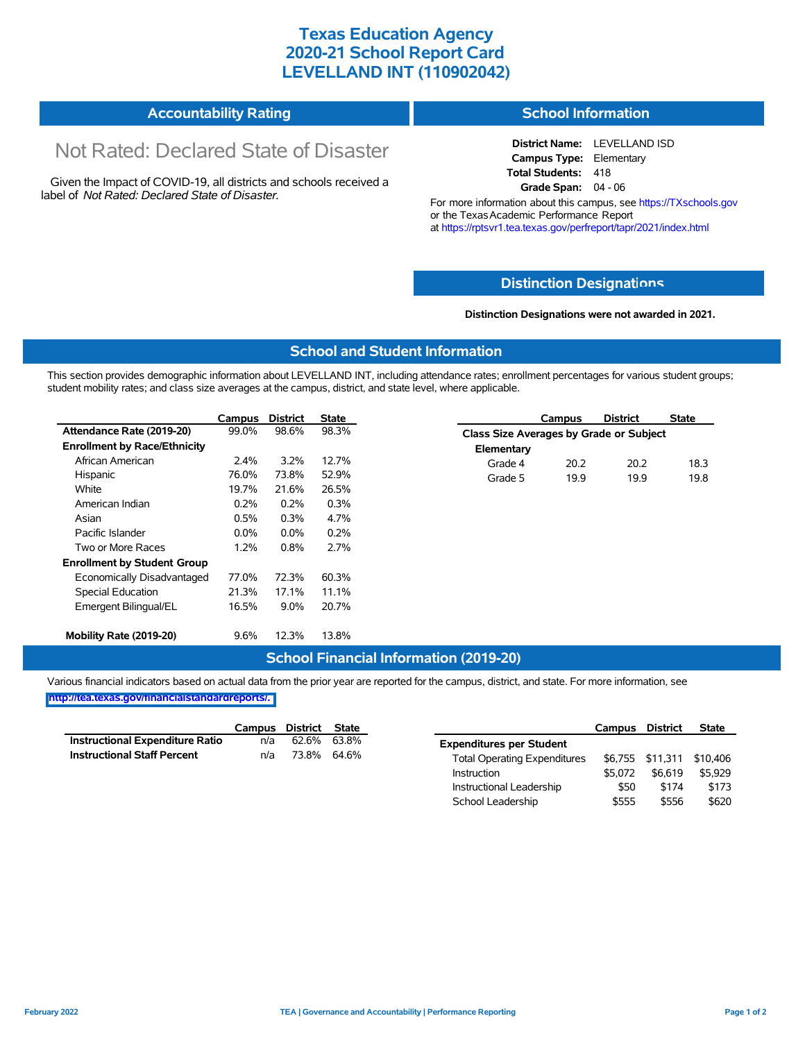# **Texas Education Agency 2020-21 School Report Card LEVELLAND INT (110902042)**

|  | <b>Accountability Rating</b> | <b>School Information</b> |
|--|------------------------------|---------------------------|
|--|------------------------------|---------------------------|

# Not Rated: Declared State of Disaster

Given the Impact of COVID-19, all districts and schools received a label of *Not Rated: Declared State of Disaster.*

**District Name:** LEVELLAND ISD **Campus Type:** Elementary **Total Students:** 418 **Grade Span:** 04 - 06

For more information about this campus, see https://TXschools.gov or the Texas Academic Performance Report at https://rptsvr1.tea.texas.gov/perfreport/tapr/2021/index.html

## **Distinction Designat[ions](https://TXschools.gov)**

**Distinction Designations were not awarded in 2021.**

School Leadership  $$555$   $$556$   $$620$ 

#### **School and Student Information**

This section provides demographic information about LEVELLAND INT, including attendance rates; enrollment percentages for various student groups; student mobility rates; and class size averages at the campus, district, and state level, where applicable.

|                                     | Campus  | <b>District</b> | <b>State</b> | <b>District</b><br><b>State</b><br>Campus      |
|-------------------------------------|---------|-----------------|--------------|------------------------------------------------|
| Attendance Rate (2019-20)           | 99.0%   | 98.6%           | 98.3%        | <b>Class Size Averages by Grade or Subject</b> |
| <b>Enrollment by Race/Ethnicity</b> |         |                 |              | Elementary                                     |
| African American                    | $2.4\%$ | 3.2%            | 12.7%        | Grade 4<br>20.2<br>18.3<br>20.2                |
| Hispanic                            | 76.0%   | 73.8%           | 52.9%        | 19.8<br>Grade 5<br>19.9<br>19.9                |
| White                               | 19.7%   | 21.6%           | 26.5%        |                                                |
| American Indian                     | 0.2%    | 0.2%            | 0.3%         |                                                |
| Asian                               | 0.5%    | 0.3%            | 4.7%         |                                                |
| Pacific Islander                    | $0.0\%$ | $0.0\%$         | 0.2%         |                                                |
| Two or More Races                   | 1.2%    | 0.8%            | 2.7%         |                                                |
| <b>Enrollment by Student Group</b>  |         |                 |              |                                                |
| Economically Disadvantaged          | 77.0%   | 72.3%           | 60.3%        |                                                |
| Special Education                   | 21.3%   | 17.1%           | 11.1%        |                                                |
| Emergent Bilingual/EL               | 16.5%   | $9.0\%$         | 20.7%        |                                                |
| Mobility Rate (2019-20)             | 9.6%    | 12.3%           | 13.8%        |                                                |

## **School Financial Information (2019-20)**

Various financial indicators based on actual data from the prior year are reported for the campus, district, and state. For more information, see

**[http://tea.texas.gov/financialstandardreports/.](http://tea.texas.gov/financialstandardreports/)**

|                                    | Campus | District State |       |                                     | Campus  | <b>District</b>  | <b>State</b> |
|------------------------------------|--------|----------------|-------|-------------------------------------|---------|------------------|--------------|
| Instructional Expenditure Ratio    | n/a    | 62.6%          | 63.8% | <b>Expenditures per Student</b>     |         |                  |              |
| <b>Instructional Staff Percent</b> | n/a    | 73.8%          | 64.6% | <b>Total Operating Expenditures</b> |         | \$6,755 \$11,311 | \$10.406     |
|                                    |        |                |       | Instruction                         | \$5.072 | \$6,619          | \$5.929      |
|                                    |        |                |       | Instructional Leadership            | \$50    | \$174            | \$173        |